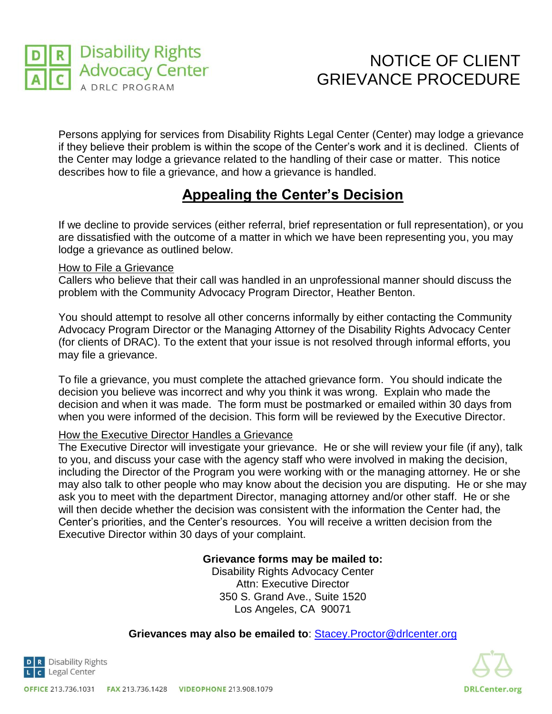

# NOTICE OF CLIENT GRIEVANCE PROCEDURE

Persons applying for services from Disability Rights Legal Center (Center) may lodge a grievance if they believe their problem is within the scope of the Center's work and it is declined. Clients of the Center may lodge a grievance related to the handling of their case or matter. This notice describes how to file a grievance, and how a grievance is handled.

## **Appealing the Center's Decision**

If we decline to provide services (either referral, brief representation or full representation), or you are dissatisfied with the outcome of a matter in which we have been representing you, you may lodge a grievance as outlined below.

### How to File a Grievance

Callers who believe that their call was handled in an unprofessional manner should discuss the problem with the Community Advocacy Program Director, Heather Benton.

You should attempt to resolve all other concerns informally by either contacting the Community Advocacy Program Director or the Managing Attorney of the Disability Rights Advocacy Center (for clients of DRAC). To the extent that your issue is not resolved through informal efforts, you may file a grievance.

To file a grievance, you must complete the attached grievance form. You should indicate the decision you believe was incorrect and why you think it was wrong. Explain who made the decision and when it was made. The form must be postmarked or emailed within 30 days from when you were informed of the decision. This form will be reviewed by the Executive Director.

### How the Executive Director Handles a Grievance

The Executive Director will investigate your grievance. He or she will review your file (if any), talk to you, and discuss your case with the agency staff who were involved in making the decision, including the Director of the Program you were working with or the managing attorney. He or she may also talk to other people who may know about the decision you are disputing. He or she may ask you to meet with the department Director, managing attorney and/or other staff. He or she will then decide whether the decision was consistent with the information the Center had, the Center's priorities, and the Center's resources. You will receive a written decision from the Executive Director within 30 days of your complaint.

## **Grievance forms may be mailed to:**

Disability Rights Advocacy Center Attn: Executive Director 350 S. Grand Ave., Suite 1520 Los Angeles, CA 90071

**Grievances may also be emailed to**: [Stacey.Proctor@drlcenter.org](mailto:Stacey.Proctor@drlcenter.org)



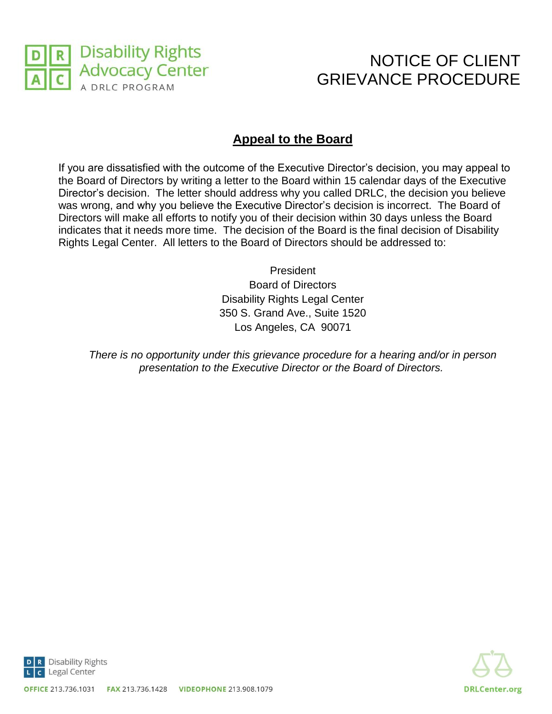

# NOTICE OF CLIENT GRIEVANCE PROCEDURE

## **Appeal to the Board**

If you are dissatisfied with the outcome of the Executive Director's decision, you may appeal to the Board of Directors by writing a letter to the Board within 15 calendar days of the Executive Director's decision. The letter should address why you called DRLC, the decision you believe was wrong, and why you believe the Executive Director's decision is incorrect. The Board of Directors will make all efforts to notify you of their decision within 30 days unless the Board indicates that it needs more time. The decision of the Board is the final decision of Disability Rights Legal Center. All letters to the Board of Directors should be addressed to:

> President Board of Directors Disability Rights Legal Center 350 S. Grand Ave., Suite 1520 Los Angeles, CA 90071

*There is no opportunity under this grievance procedure for a hearing and/or in person presentation to the Executive Director or the Board of Directors.*

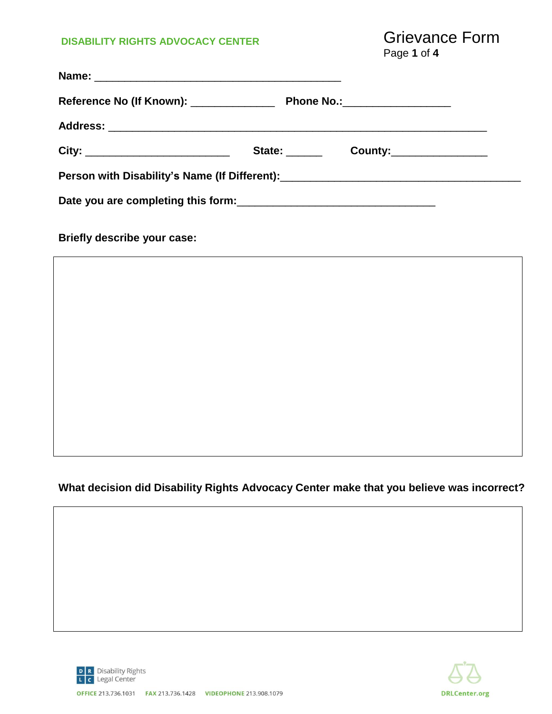#### **DISABILITY RIGHTS ADVOCACY CENTER**

| <b>Grievance Form</b> |  |
|-----------------------|--|
| Page 1 of 4           |  |

| Reference No (If Known): _______________                                                                       |                             | Phone No.: ____________________ |  |
|----------------------------------------------------------------------------------------------------------------|-----------------------------|---------------------------------|--|
|                                                                                                                |                             |                                 |  |
|                                                                                                                | State: <b>State: State:</b> | County:_________________        |  |
| Person with Disability's Name (If Different): 2008 2010 2020 2021 2022 2023 2024 2022 2023 2024 2022 2023 2024 |                             |                                 |  |
|                                                                                                                |                             |                                 |  |

**Briefly describe your case:**

## **What decision did Disability Rights Advocacy Center make that you believe was incorrect?**



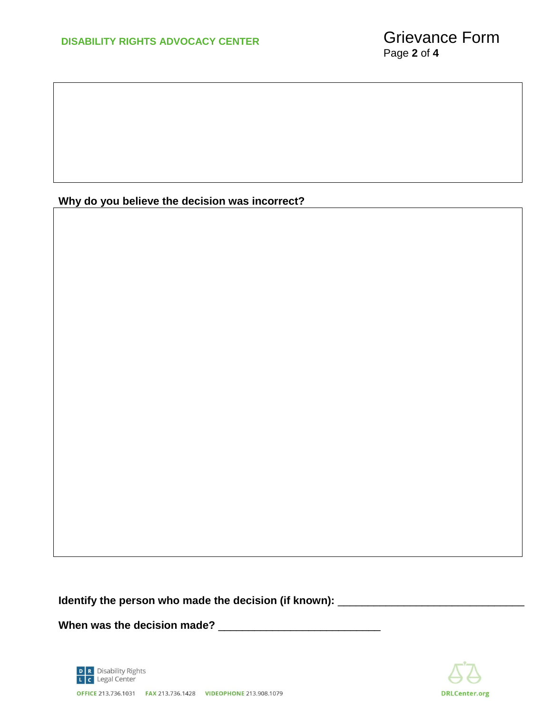NOTICE OF

GRIEVANCE

CLIENT COM

**Why do you believe the decision was incorrect?**

Identify the person who made the decision (if known): \_\_\_\_\_\_\_\_\_\_\_\_\_\_\_\_\_\_\_\_\_\_\_\_\_\_\_

**When was the decision made?** \_\_\_\_\_\_\_\_\_\_\_\_\_\_\_\_\_\_\_\_\_\_\_\_\_\_\_



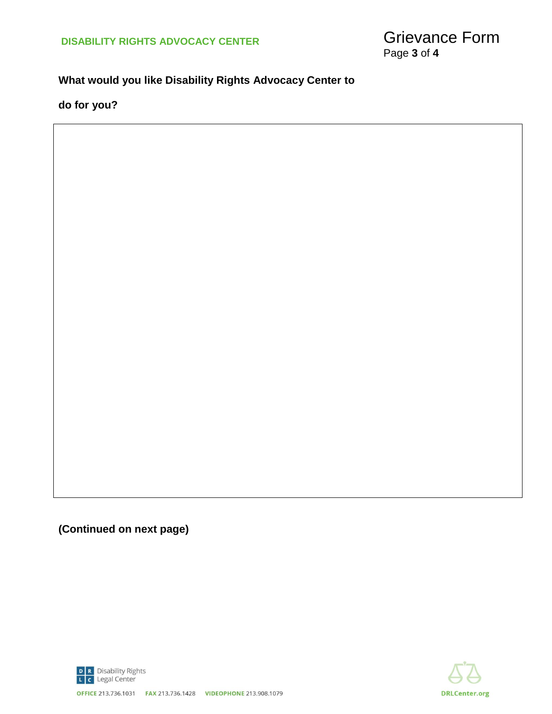<u>Climatic Climatic Climatic Climatic Climatic Climatic Climatic Climatic Climatic Climatic Climatic Climatic Cl</u>

GRIEVANCE

## **What would you like Disability Rights Advocacy Center to**

**do for you?**

**(Continued on next page)**